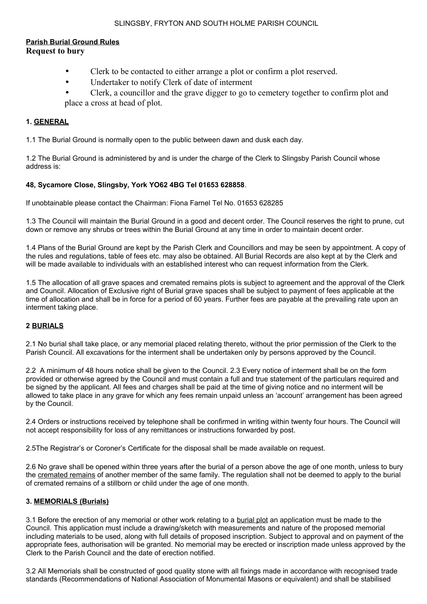### SLINGSBY, FRYTON AND SOUTH HOLME PARISH COUNCIL

# **Parish Burial Ground Rules Request to bury**

- Clerk to be contacted to either arrange a plot or confirm a plot reserved.
- Undertaker to notify Clerk of date of interment
- Clerk, a councillor and the grave digger to go to cemetery together to confirm plot and place a cross at head of plot.

## **1. GENERAL**

1.1 The Burial Ground is normally open to the public between dawn and dusk each day.

1.2 The Burial Ground is administered by and is under the charge of the Clerk to Slingsby Parish Council whose address is:

# **48, Sycamore Close, Slingsby, York YO62 4BG Tel 01653 628858**.

If unobtainable please contact the Chairman: Fiona Farnel Tel No. 01653 628285

1.3 The Council will maintain the Burial Ground in a good and decent order. The Council reserves the right to prune, cut down or remove any shrubs or trees within the Burial Ground at any time in order to maintain decent order.

1.4 Plans of the Burial Ground are kept by the Parish Clerk and Councillors and may be seen by appointment. A copy of the rules and regulations, table of fees etc. may also be obtained. All Burial Records are also kept at by the Clerk and will be made available to individuals with an established interest who can request information from the Clerk.

1.5 The allocation of all grave spaces and cremated remains plots is subject to agreement and the approval of the Clerk and Council. Allocation of Exclusive right of Burial grave spaces shall be subject to payment of fees applicable at the time of allocation and shall be in force for a period of 60 years. Further fees are payable at the prevailing rate upon an interment taking place.

### **2 BURIALS**

2.1 No burial shall take place, or any memorial placed relating thereto, without the prior permission of the Clerk to the Parish Council. All excavations for the interment shall be undertaken only by persons approved by the Council.

2.2 A minimum of 48 hours notice shall be given to the Council. 2.3 Every notice of interment shall be on the form provided or otherwise agreed by the Council and must contain a full and true statement of the particulars required and be signed by the applicant. All fees and charges shall be paid at the time of giving notice and no interment will be allowed to take place in any grave for which any fees remain unpaid unless an 'account' arrangement has been agreed by the Council.

2.4 Orders or instructions received by telephone shall be confirmed in writing within twenty four hours. The Council will not accept responsibility for loss of any remittances or instructions forwarded by post.

2.5The Registrar's or Coroner's Certificate for the disposal shall be made available on request.

2.6 No grave shall be opened within three years after the burial of a person above the age of one month, unless to bury the cremated remains of another member of the same family. The regulation shall not be deemed to apply to the burial of cremated remains of a stillborn or child under the age of one month.

### **3. MEMORIALS (Burials)**

3.1 Before the erection of any memorial or other work relating to a burial plot an application must be made to the Council. This application must include a drawing/sketch with measurements and nature of the proposed memorial including materials to be used, along with full details of proposed inscription. Subject to approval and on payment of the appropriate fees, authorisation will be granted. No memorial may be erected or inscription made unless approved by the Clerk to the Parish Council and the date of erection notified.

3.2 All Memorials shall be constructed of good quality stone with all fixings made in accordance with recognised trade standards (Recommendations of National Association of Monumental Masons or equivalent) and shall be stabilised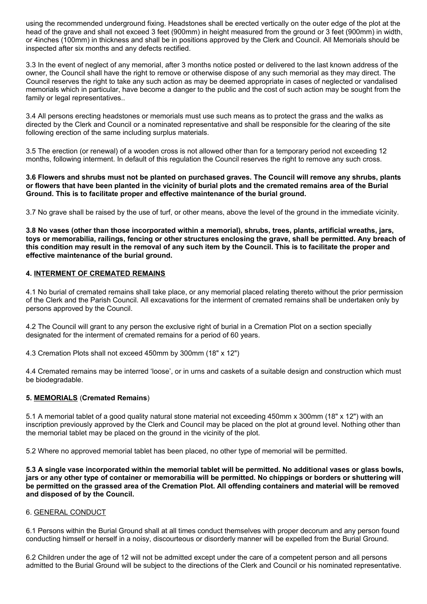using the recommended underground fixing. Headstones shall be erected vertically on the outer edge of the plot at the head of the grave and shall not exceed 3 feet (900mm) in height measured from the ground or 3 feet (900mm) in width, or 4inches (100mm) in thickness and shall be in positions approved by the Clerk and Council. All Memorials should be inspected after six months and any defects rectified.

3.3 In the event of neglect of any memorial, after 3 months notice posted or delivered to the last known address of the owner, the Council shall have the right to remove or otherwise dispose of any such memorial as they may direct. The Council reserves the right to take any such action as may be deemed appropriate in cases of neglected or vandalised memorials which in particular, have become a danger to the public and the cost of such action may be sought from the family or legal representatives..

3.4 All persons erecting headstones or memorials must use such means as to protect the grass and the walks as directed by the Clerk and Council or a nominated representative and shall be responsible for the clearing of the site following erection of the same including surplus materials.

3.5 The erection (or renewal) of a wooden cross is not allowed other than for a temporary period not exceeding 12 months, following interment. In default of this regulation the Council reserves the right to remove any such cross.

**3.6 Flowers and shrubs must not be planted on purchased graves. The Council will remove any shrubs, plants or flowers that have been planted in the vicinity of burial plots and the cremated remains area of the Burial Ground. This is to facilitate proper and effective maintenance of the burial ground.**

3.7 No grave shall be raised by the use of turf, or other means, above the level of the ground in the immediate vicinity.

**3.8 No vases (other than those incorporated within a memorial), shrubs, trees, plants, artificial wreaths, jars, toys or memorabilia, railings, fencing or other structures enclosing the grave, shall be permitted. Any breach of this condition may result in the removal of any such item by the Council. This is to facilitate the proper and effective maintenance of the burial ground.**

### **4. INTERMENT OF CREMATED REMAINS**

4.1 No burial of cremated remains shall take place, or any memorial placed relating thereto without the prior permission of the Clerk and the Parish Council. All excavations for the interment of cremated remains shall be undertaken only by persons approved by the Council.

4.2 The Council will grant to any person the exclusive right of burial in a Cremation Plot on a section specially designated for the interment of cremated remains for a period of 60 years.

4.3 Cremation Plots shall not exceed 450mm by 300mm (18" x 12")

4.4 Cremated remains may be interred 'loose', or in urns and caskets of a suitable design and construction which must be biodegradable.

### **5. MEMORIALS** (**Cremated Remains**)

5.1 A memorial tablet of a good quality natural stone material not exceeding 450mm x 300mm (18" x 12") with an inscription previously approved by the Clerk and Council may be placed on the plot at ground level. Nothing other than the memorial tablet may be placed on the ground in the vicinity of the plot.

5.2 Where no approved memorial tablet has been placed, no other type of memorial will be permitted.

**5.3 A single vase incorporated within the memorial tablet will be permitted. No additional vases or glass bowls, jars or any other type of container or memorabilia will be permitted. No chippings or borders or shuttering will be permitted on the grassed area of the Cremation Plot. All offending containers and material will be removed and disposed of by the Council.**

#### 6. GENERAL CONDUCT

6.1 Persons within the Burial Ground shall at all times conduct themselves with proper decorum and any person found conducting himself or herself in a noisy, discourteous or disorderly manner will be expelled from the Burial Ground.

6.2 Children under the age of 12 will not be admitted except under the care of a competent person and all persons admitted to the Burial Ground will be subject to the directions of the Clerk and Council or his nominated representative.